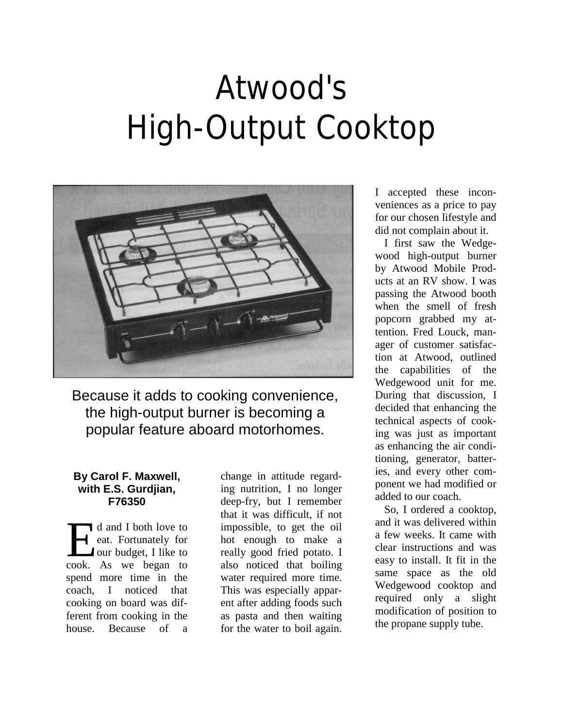## Atwood's High-Output Cooktop



Because it adds to cooking convenience, the high-output burner is becoming a popular feature aboard motorhomes.

## **By Carol F. Maxwell, with E.S. Gurdjian, F76350**

If d and I both love to eat. Fortunately for **J** our budget, I like to d and I both love to<br>eat. Fortunately for<br>our budget, I like to<br>cook. As we began to spend more time in the coach, I noticed that cooking on board was different from cooking in the house. Because of a

change in attitude regarding nutrition, I no longer deep-fry, but I remember that it was difficult, if not impossible, to get the oil hot enough to make a really good fried potato. I also noticed that boiling water required more time. This was especially apparent after adding foods such as pasta and then waiting for the water to boil again.

I accepted these inconveniences as a price to pay for our chosen lifestyle and did not complain about it.

I first saw the Wedgewood high-output burner by Atwood Mobile Products at an RV show. I was passing the Atwood booth when the smell of fresh popcorn grabbed my attention. Fred Louck, manager of customer satisfaction at Atwood, outlined the capabilities of the Wedgewood unit for me. During that discussion, I decided that enhancing the technical aspects of cooking was just as important as enhancing the air conditioning, generator, batteries, and every other component we had modified or added to our coach.

So, I ordered a cooktop, and it was delivered within a few weeks. It came with clear instructions and was easy to install. It fit in the same space as the old Wedgewood cooktop and required only a slight modification of position to the propane supply tube.